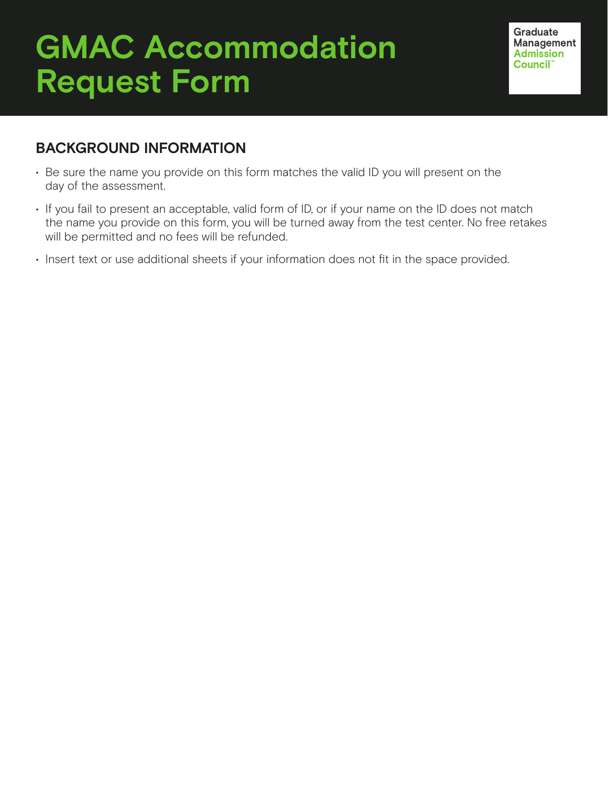## **GMAC Accommodation Request Form**

**Graduate** Management **Admission** Council<sup>®</sup>

## **BACKGROUND INFORMATION**

- Be sure the name you provide on this form matches the valid ID you will present on the day of the assessment.
- If you fail to present an acceptable, valid form of ID, or if your name on the ID does not match the name you provide on this form, you will be turned away from the test center. No free retakes will be permitted and no fees will be refunded.
- Insert text or use additional sheets if your information does not fit in the space provided.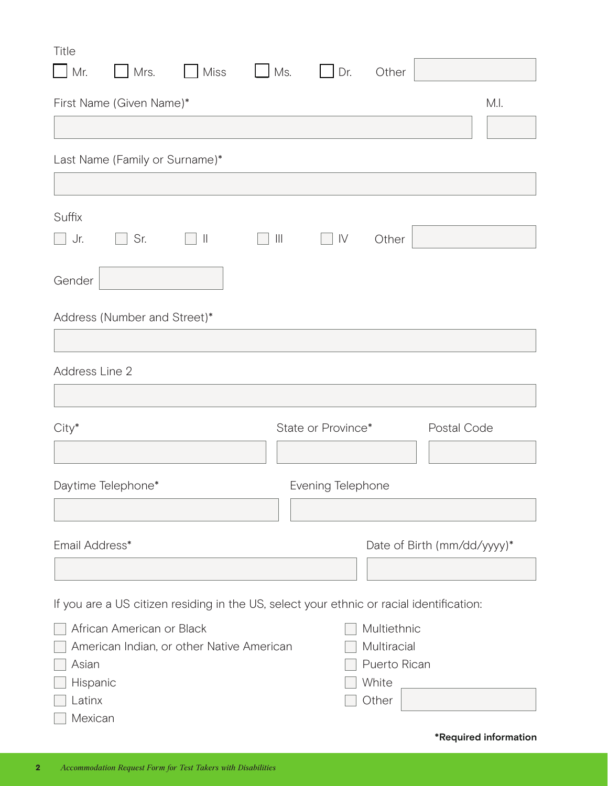| Title<br>$\Box$ Mr.                    | $Mrs$ .                        | <b>Miss</b>                                                                              | $\Box$ Ms. |                    | $\Box$ Dr. | Other                                                        |                             |      |
|----------------------------------------|--------------------------------|------------------------------------------------------------------------------------------|------------|--------------------|------------|--------------------------------------------------------------|-----------------------------|------|
|                                        | First Name (Given Name)*       |                                                                                          |            |                    |            |                                                              |                             | M.I. |
|                                        |                                |                                                                                          |            |                    |            |                                                              |                             |      |
|                                        | Last Name (Family or Surname)* |                                                                                          |            |                    |            |                                                              |                             |      |
| Suffix<br>$\Box$ Jr.                   | Sr.                            | $\Box$ II                                                                                | $\  \ $    |                    | IV         | Other                                                        |                             |      |
| Gender                                 |                                |                                                                                          |            |                    |            |                                                              |                             |      |
|                                        | Address (Number and Street)*   |                                                                                          |            |                    |            |                                                              |                             |      |
| Address Line 2                         |                                |                                                                                          |            |                    |            |                                                              |                             |      |
|                                        |                                |                                                                                          |            |                    |            |                                                              |                             |      |
| City*                                  |                                |                                                                                          |            | State or Province* |            |                                                              | Postal Code                 |      |
|                                        | Daytime Telephone*             |                                                                                          |            | Evening Telephone  |            |                                                              |                             |      |
|                                        |                                |                                                                                          |            |                    |            |                                                              |                             |      |
| Email Address*                         |                                |                                                                                          |            |                    |            |                                                              | Date of Birth (mm/dd/yyyy)* |      |
|                                        |                                | If you are a US citizen residing in the US, select your ethnic or racial identification: |            |                    |            |                                                              |                             |      |
| Asian<br>Hispanic<br>Latinx<br>Mexican | African American or Black      | American Indian, or other Native American                                                |            |                    |            | Multiethnic<br>Multiracial<br>Puerto Rican<br>White<br>Other |                             |      |

**\*Required information**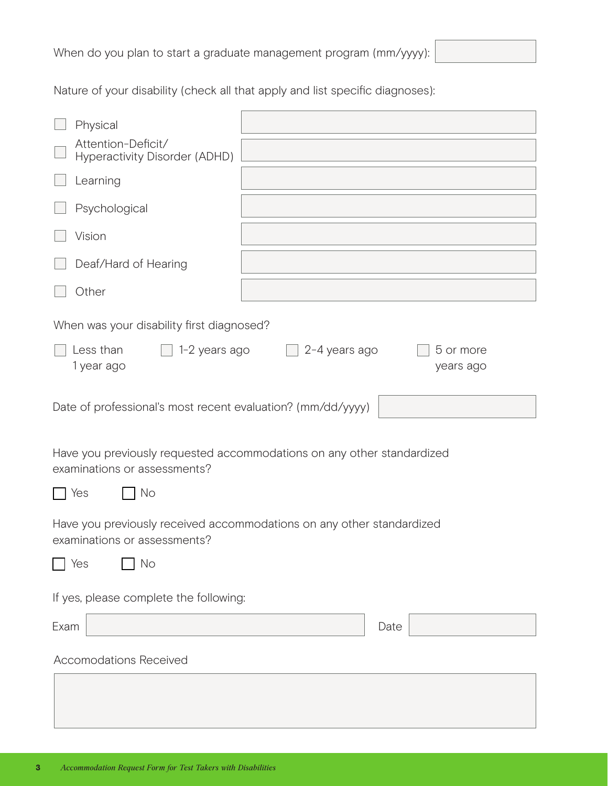When do you plan to start a graduate management program (mm/yyyy):

Nature of your disability (check all that apply and list specific diagnoses):

| Physical                                                                                               |      |  |  |  |  |  |  |  |
|--------------------------------------------------------------------------------------------------------|------|--|--|--|--|--|--|--|
| Attention-Deficit/<br>Hyperactivity Disorder (ADHD)                                                    |      |  |  |  |  |  |  |  |
|                                                                                                        |      |  |  |  |  |  |  |  |
| Learning                                                                                               |      |  |  |  |  |  |  |  |
| Psychological                                                                                          |      |  |  |  |  |  |  |  |
| Vision                                                                                                 |      |  |  |  |  |  |  |  |
| Deaf/Hard of Hearing                                                                                   |      |  |  |  |  |  |  |  |
| Other                                                                                                  |      |  |  |  |  |  |  |  |
| When was your disability first diagnosed?                                                              |      |  |  |  |  |  |  |  |
| Less than<br>1-2 years ago<br>2-4 years ago<br>5 or more<br>1 year ago<br>years ago                    |      |  |  |  |  |  |  |  |
| Date of professional's most recent evaluation? (mm/dd/yyyy)                                            |      |  |  |  |  |  |  |  |
| Have you previously requested accommodations on any other standardized<br>examinations or assessments? |      |  |  |  |  |  |  |  |
| No<br>Yes<br>$\mathbf{L}$                                                                              |      |  |  |  |  |  |  |  |
| Have you previously received accommodations on any other standardized<br>examinations or assessments?  |      |  |  |  |  |  |  |  |
| No<br>Yes                                                                                              |      |  |  |  |  |  |  |  |
| If yes, please complete the following:                                                                 |      |  |  |  |  |  |  |  |
| Exam                                                                                                   | Date |  |  |  |  |  |  |  |
| <b>Accomodations Received</b>                                                                          |      |  |  |  |  |  |  |  |
|                                                                                                        |      |  |  |  |  |  |  |  |
|                                                                                                        |      |  |  |  |  |  |  |  |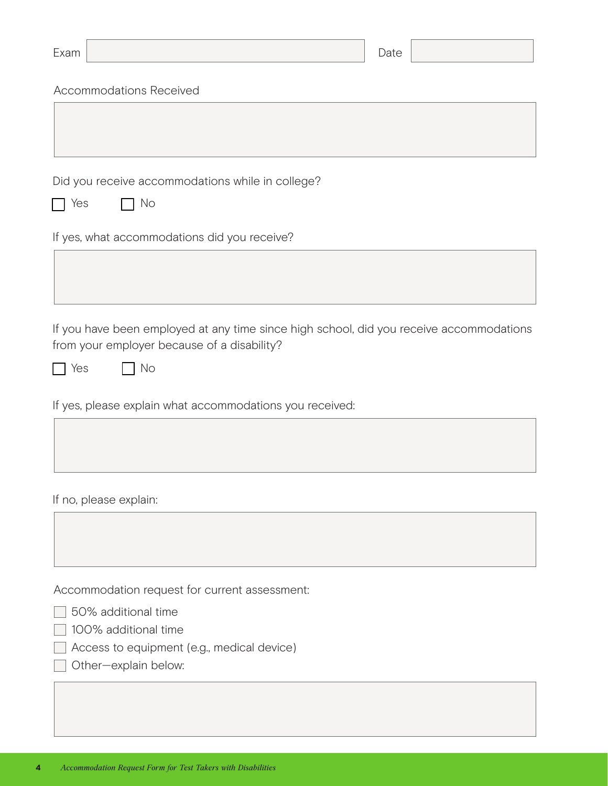| Exam                                          |                                                                                         | Date |  |
|-----------------------------------------------|-----------------------------------------------------------------------------------------|------|--|
| <b>Accommodations Received</b>                |                                                                                         |      |  |
|                                               |                                                                                         |      |  |
|                                               |                                                                                         |      |  |
|                                               | Did you receive accommodations while in college?                                        |      |  |
| No<br>Yes                                     |                                                                                         |      |  |
| If yes, what accommodations did you receive?  |                                                                                         |      |  |
|                                               |                                                                                         |      |  |
|                                               |                                                                                         |      |  |
| from your employer because of a disability?   | If you have been employed at any time since high school, did you receive accommodations |      |  |
| No<br>Yes                                     |                                                                                         |      |  |
|                                               | If yes, please explain what accommodations you received:                                |      |  |
|                                               |                                                                                         |      |  |
| If no, please explain:                        |                                                                                         |      |  |
|                                               |                                                                                         |      |  |
|                                               |                                                                                         |      |  |
| Accommodation request for current assessment: |                                                                                         |      |  |
| 50% additional time                           |                                                                                         |      |  |
| 100% additional time                          |                                                                                         |      |  |

Access to equipment (e.g., medical device)

□ Other-explain below: